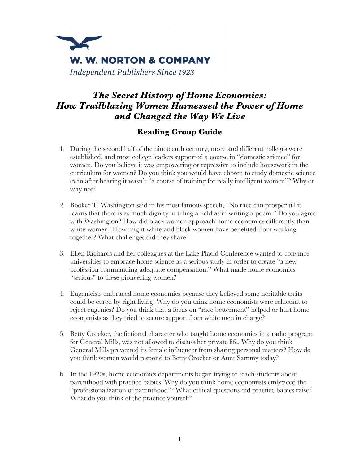

## *The Secret History of Home Economics: How Trailblazing Women Harnessed the Power of Home and Changed the Way We Live*

## **Reading Group Guide**

- 1. During the second half of the nineteenth century, more and different colleges were established, and most college leaders supported a course in "domestic science" for women. Do you believe it was empowering or repressive to include housework in the curriculum for women? Do you think you would have chosen to study domestic science even after hearing it wasn't "a course of training for really intelligent women"? Why or why not?
- 2. Booker T. Washington said in his most famous speech, "No race can prosper till it learns that there is as much dignity in tilling a field as in writing a poem." Do you agree with Washington? How did black women approach home economics differently than white women? How might white and black women have benefited from working together? What challenges did they share?
- 3. Ellen Richards and her colleagues at the Lake Placid Conference wanted to convince universities to embrace home science as a serious study in order to create "a new profession commanding adequate compensation." What made home economics "serious" to these pioneering women?
- 4. Eugenicists embraced home economics because they believed some heritable traits could be cured by right living. Why do you think home economists were reluctant to reject eugenics? Do you think that a focus on "race betterment" helped or hurt home economists as they tried to secure support from white men in charge?
- 5. Betty Crocker, the fictional character who taught home economics in a radio program for General Mills, was not allowed to discuss her private life. Why do you think General Mills prevented its female influencer from sharing personal matters? How do you think women would respond to Betty Crocker or Aunt Sammy today?
- 6. In the 1920s, home economics departments began trying to teach students about parenthood with practice babies. Why do you think home economists embraced the "professionalization of parenthood"? What ethical questions did practice babies raise? What do you think of the practice yourself?